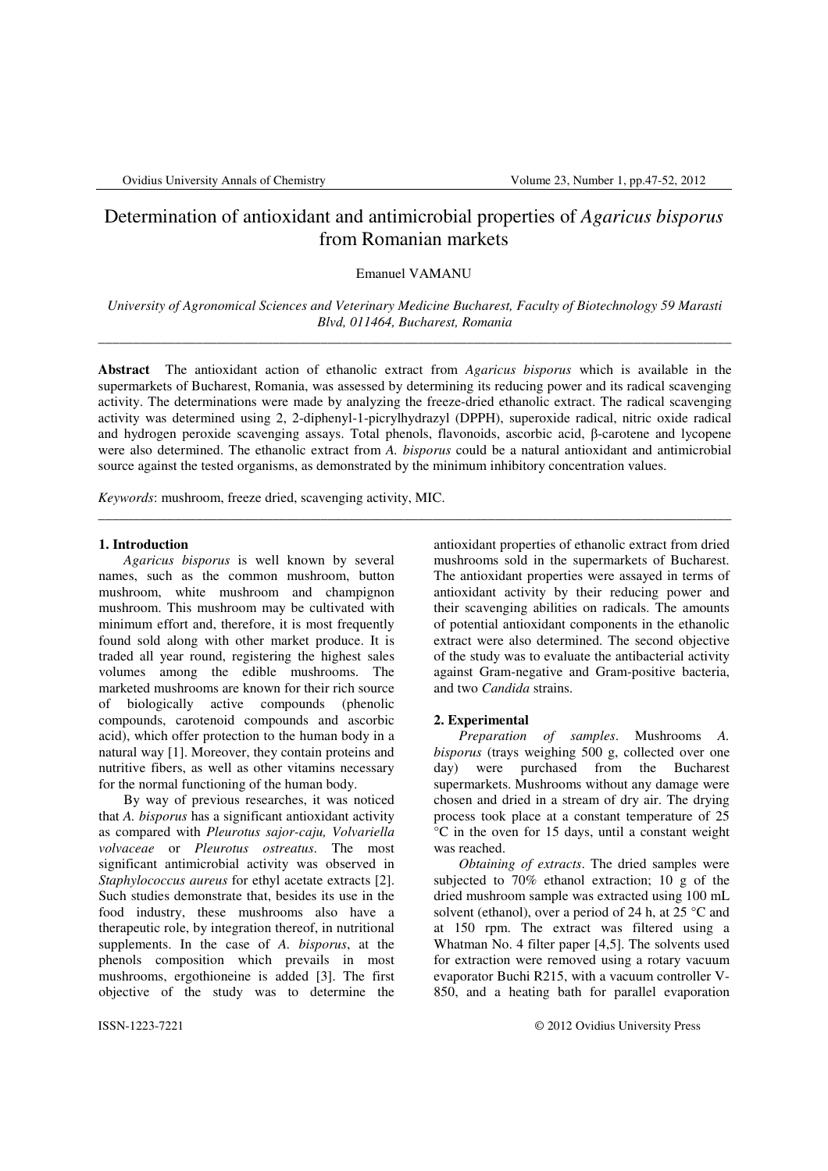# Determination of antioxidant and antimicrobial properties of *Agaricus bisporus* from Romanian markets

Emanuel VAMANU

*University of Agronomical Sciences and Veterinary Medicine Bucharest, Faculty of Biotechnology 59 Marasti Blvd, 011464, Bucharest, Romania* \_\_\_\_\_\_\_\_\_\_\_\_\_\_\_\_\_\_\_\_\_\_\_\_\_\_\_\_\_\_\_\_\_\_\_\_\_\_\_\_\_\_\_\_\_\_\_\_\_\_\_\_\_\_\_\_\_\_\_\_\_\_\_\_\_\_\_\_\_\_\_\_\_\_\_\_\_\_\_\_\_\_\_\_\_\_\_\_\_\_\_

**Abstract** The antioxidant action of ethanolic extract from *Agaricus bisporus* which is available in the supermarkets of Bucharest, Romania, was assessed by determining its reducing power and its radical scavenging activity. The determinations were made by analyzing the freeze-dried ethanolic extract. The radical scavenging activity was determined using 2, 2-diphenyl-1-picrylhydrazyl (DPPH), superoxide radical, nitric oxide radical and hydrogen peroxide scavenging assays. Total phenols, flavonoids, ascorbic acid, β-carotene and lycopene were also determined. The ethanolic extract from *A. bisporus* could be a natural antioxidant and antimicrobial source against the tested organisms, as demonstrated by the minimum inhibitory concentration values.

\_\_\_\_\_\_\_\_\_\_\_\_\_\_\_\_\_\_\_\_\_\_\_\_\_\_\_\_\_\_\_\_\_\_\_\_\_\_\_\_\_\_\_\_\_\_\_\_\_\_\_\_\_\_\_\_\_\_\_\_\_\_\_\_\_\_\_\_\_\_\_\_\_\_\_\_\_\_\_\_\_\_\_\_\_\_\_\_\_\_\_

*Keywords*: mushroom, freeze dried, scavenging activity, MIC.

#### **1. Introduction**

*Agaricus bisporus* is well known by several names, such as the common mushroom, button mushroom, white mushroom and champignon mushroom. This mushroom may be cultivated with minimum effort and, therefore, it is most frequently found sold along with other market produce. It is traded all year round, registering the highest sales volumes among the edible mushrooms. The marketed mushrooms are known for their rich source of biologically active compounds (phenolic compounds, carotenoid compounds and ascorbic acid), which offer protection to the human body in a natural way [1]. Moreover, they contain proteins and nutritive fibers, as well as other vitamins necessary for the normal functioning of the human body.

By way of previous researches, it was noticed that *A. bisporus* has a significant antioxidant activity as compared with *Pleurotus sajor-caju, Volvariella volvaceae* or *Pleurotus ostreatus*. The most significant antimicrobial activity was observed in *Staphylococcus aureus* for ethyl acetate extracts [2]. Such studies demonstrate that, besides its use in the food industry, these mushrooms also have a therapeutic role, by integration thereof, in nutritional supplements. In the case of *A. bisporus*, at the phenols composition which prevails in most mushrooms, ergothioneine is added [3]. The first objective of the study was to determine the

antioxidant properties of ethanolic extract from dried mushrooms sold in the supermarkets of Bucharest. The antioxidant properties were assayed in terms of antioxidant activity by their reducing power and their scavenging abilities on radicals. The amounts of potential antioxidant components in the ethanolic extract were also determined. The second objective of the study was to evaluate the antibacterial activity against Gram-negative and Gram-positive bacteria, and two *Candida* strains.

#### **2. Experimental**

*Preparation of samples*. Mushrooms *A. bisporus* (trays weighing 500 g, collected over one day) were purchased from the Bucharest supermarkets. Mushrooms without any damage were chosen and dried in a stream of dry air. The drying process took place at a constant temperature of 25  $\overline{C}$  in the oven for 15 days, until a constant weight was reached.

 *Obtaining of extracts*. The dried samples were subjected to  $70\%$  ethanol extraction;  $10 \text{ g}$  of the dried mushroom sample was extracted using 100 mL solvent (ethanol), over a period of 24 h, at  $25^{\circ}$ C and at 150 rpm. The extract was filtered using a Whatman No. 4 filter paper [4,5]. The solvents used for extraction were removed using a rotary vacuum evaporator Buchi R215, with a vacuum controller V-850, and a heating bath for parallel evaporation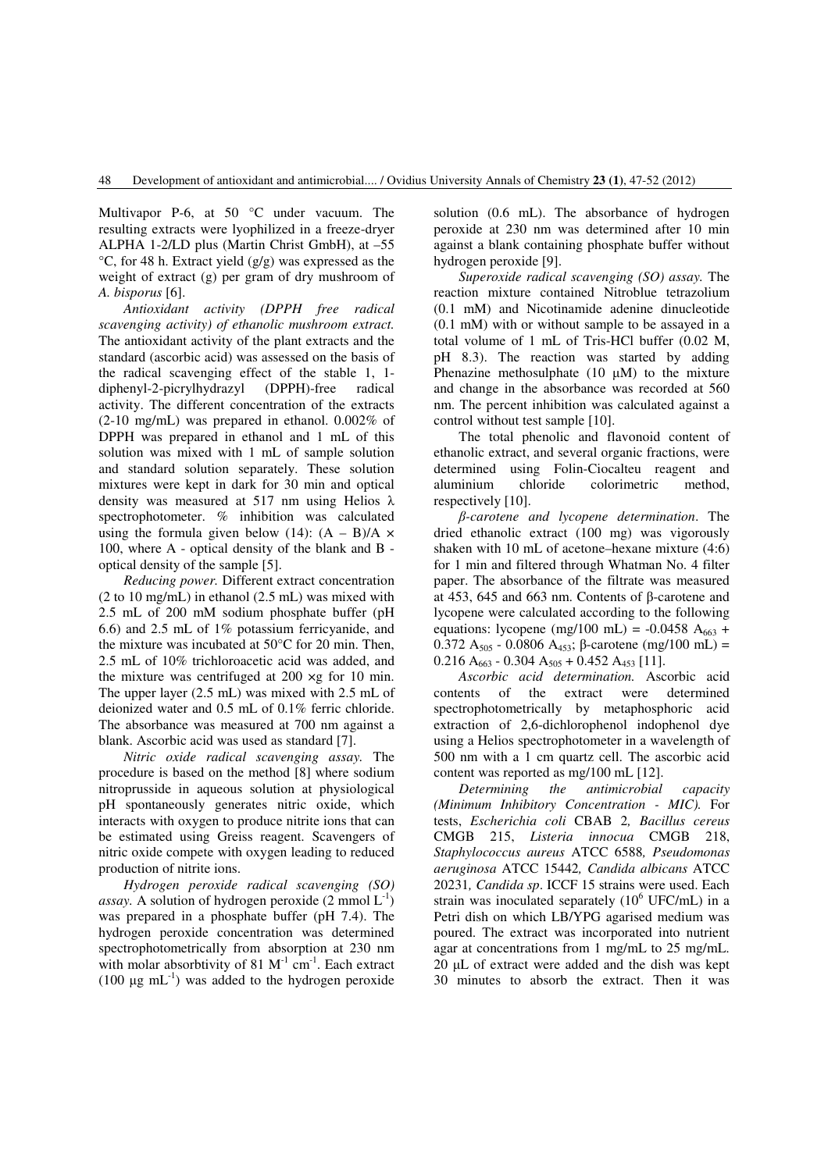Multivapor P-6, at 50 °C under vacuum. The resulting extracts were lyophilized in a freeze-dryer ALPHA 1-2/LD plus (Martin Christ GmbH), at –55 °C, for 48 h. Extract yield (g/g) was expressed as the weight of extract (g) per gram of dry mushroom of *A. bisporus* [6].

*Antioxidant activity (DPPH free radical scavenging activity) of ethanolic mushroom extract.* The antioxidant activity of the plant extracts and the standard (ascorbic acid) was assessed on the basis of the radical scavenging effect of the stable 1, 1 diphenyl-2-picrylhydrazyl (DPPH)-free radical activity. The different concentration of the extracts (2-10 mg/mL) was prepared in ethanol. 0.002% of DPPH was prepared in ethanol and 1 mL of this solution was mixed with 1 mL of sample solution and standard solution separately. These solution mixtures were kept in dark for 30 min and optical density was measured at 517 nm using Helios λ spectrophotometer. % inhibition was calculated using the formula given below (14):  $(A - B)/A \times$ 100, where A - optical density of the blank and B optical density of the sample [5].

*Reducing power.* Different extract concentration (2 to 10 mg/mL) in ethanol (2.5 mL) was mixed with 2.5 mL of 200 mM sodium phosphate buffer (pH 6.6) and 2.5 mL of 1% potassium ferricyanide, and the mixture was incubated at 50°C for 20 min. Then, 2.5 mL of 10% trichloroacetic acid was added, and the mixture was centrifuged at 200 ×g for 10 min. The upper layer (2.5 mL) was mixed with 2.5 mL of deionized water and 0.5 mL of 0.1% ferric chloride. The absorbance was measured at 700 nm against a blank. Ascorbic acid was used as standard [7].

 *Nitric oxide radical scavenging assay.* The procedure is based on the method [8] where sodium nitroprusside in aqueous solution at physiological pH spontaneously generates nitric oxide, which interacts with oxygen to produce nitrite ions that can be estimated using Greiss reagent. Scavengers of nitric oxide compete with oxygen leading to reduced production of nitrite ions.

 *Hydrogen peroxide radical scavenging (SO) assay.* A solution of hydrogen peroxide  $(2 \text{ mmol } L^{-1})$ was prepared in a phosphate buffer (pH 7.4). The hydrogen peroxide concentration was determined spectrophotometrically from absorption at 230 nm with molar absorbtivity of 81  $M^{-1}$  cm<sup>-1</sup>. Each extract (100  $\mu$ g mL<sup>-1</sup>) was added to the hydrogen peroxide solution (0.6 mL). The absorbance of hydrogen peroxide at 230 nm was determined after 10 min against a blank containing phosphate buffer without hydrogen peroxide [9].

 *Superoxide radical scavenging (SO) assay.* The reaction mixture contained Nitroblue tetrazolium (0.1 mM) and Nicotinamide adenine dinucleotide (0.1 mM) with or without sample to be assayed in a total volume of 1 mL of Tris-HCl buffer (0.02 M, pH 8.3). The reaction was started by adding Phenazine methosulphate  $(10 \mu M)$  to the mixture and change in the absorbance was recorded at 560 nm. The percent inhibition was calculated against a control without test sample [10].

The total phenolic and flavonoid content of ethanolic extract, and several organic fractions, were determined using Folin-Ciocalteu reagent and aluminium chloride colorimetric method, respectively [10].

β*-carotene and lycopene determination*. The dried ethanolic extract (100 mg) was vigorously shaken with 10 mL of acetone–hexane mixture (4:6) for 1 min and filtered through Whatman No. 4 filter paper. The absorbance of the filtrate was measured at 453, 645 and 663 nm. Contents of β-carotene and lycopene were calculated according to the following equations: lycopene (mg/100 mL) = -0.0458 A<sub>663</sub> + 0.372 A<sub>505</sub> - 0.0806 A<sub>453</sub>; β-carotene (mg/100 mL) =  $0.216 A_{663} - 0.304 A_{505} + 0.452 A_{453}$  [11].

*Ascorbic acid determination.* Ascorbic acid contents of the extract were determined spectrophotometrically by metaphosphoric acid extraction of 2,6-dichlorophenol indophenol dye using a Helios spectrophotometer in a wavelength of 500 nm with a 1 cm quartz cell. The ascorbic acid content was reported as mg/100 mL [12].

*Determining the antimicrobial capacity (Minimum Inhibitory Concentration - MIC).* For tests, *Escherichia coli* CBAB 2*, Bacillus cereus*  CMGB 215, *Listeria innocua* CMGB 218, *Staphylococcus aureus* ATCC 6588*, Pseudomonas aeruginosa* ATCC 15442*, Candida albicans* ATCC 20231*, Candida sp*. ICCF 15 strains were used. Each strain was inoculated separately  $(10^6 \text{ UFC/mL})$  in a Petri dish on which LB/YPG agarised medium was poured. The extract was incorporated into nutrient agar at concentrations from 1 mg/mL to 25 mg/mL. 20 µL of extract were added and the dish was kept 30 minutes to absorb the extract. Then it was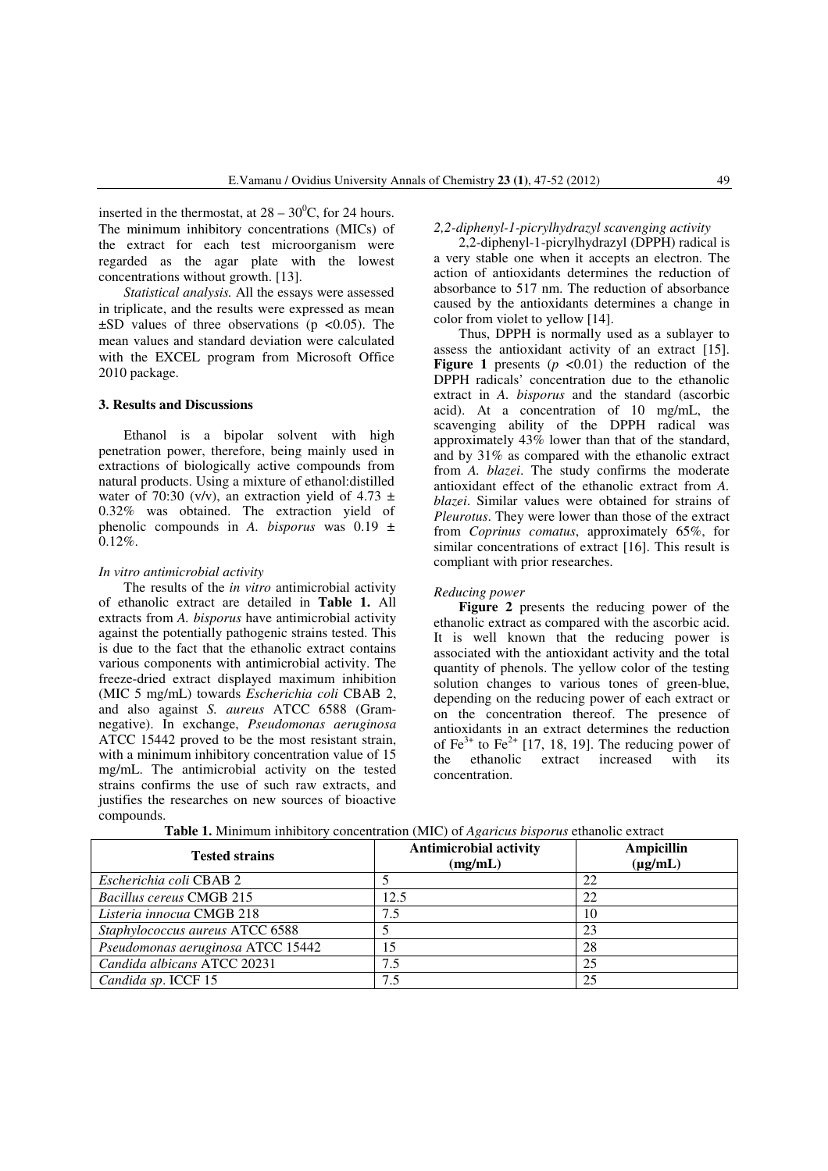inserted in the thermostat, at  $28 - 30^0$ C, for 24 hours. The minimum inhibitory concentrations (MICs) of the extract for each test microorganism were regarded as the agar plate with the lowest concentrations without growth. [13].

*Statistical analysis.* All the essays were assessed in triplicate, and the results were expressed as mean  $\pm$ SD values of three observations (p <0.05). The mean values and standard deviation were calculated with the EXCEL program from Microsoft Office 2010 package.

## **3. Results and Discussions**

Ethanol is a bipolar solvent with high penetration power, therefore, being mainly used in extractions of biologically active compounds from natural products. Using a mixture of ethanol:distilled water of 70:30 (v/v), an extraction yield of 4.73  $\pm$ 0.32% was obtained. The extraction yield of phenolic compounds in *A. bisporus* was 0.19 ± 0.12%.

#### *In vitro antimicrobial activity*

 The results of the *in vitro* antimicrobial activity of ethanolic extract are detailed in **Table 1.** All extracts from *A. bisporus* have antimicrobial activity against the potentially pathogenic strains tested. This is due to the fact that the ethanolic extract contains various components with antimicrobial activity. The freeze-dried extract displayed maximum inhibition (MIC 5 mg/mL) towards *Escherichia coli* CBAB 2, and also against *S. aureus* ATCC 6588 (Gramnegative). In exchange, *Pseudomonas aeruginosa*  ATCC 15442 proved to be the most resistant strain, with a minimum inhibitory concentration value of 15 mg/mL. The antimicrobial activity on the tested strains confirms the use of such raw extracts, and justifies the researches on new sources of bioactive compounds.

#### *2,2-diphenyl-1-picrylhydrazyl scavenging activity*

2,2-diphenyl-1-picrylhydrazyl (DPPH) radical is a very stable one when it accepts an electron. The action of antioxidants determines the reduction of absorbance to 517 nm. The reduction of absorbance caused by the antioxidants determines a change in color from violet to yellow [14].

Thus, DPPH is normally used as a sublayer to assess the antioxidant activity of an extract [15]. **Figure 1** presents  $(p \le 0.01)$  the reduction of the DPPH radicals' concentration due to the ethanolic extract in *A. bisporus* and the standard (ascorbic acid). At a concentration of 10 mg/mL, the scavenging ability of the DPPH radical was approximately 43% lower than that of the standard, and by 31% as compared with the ethanolic extract from *A. blazei*. The study confirms the moderate antioxidant effect of the ethanolic extract from *A. blazei*. Similar values were obtained for strains of *Pleurotus*. They were lower than those of the extract from *Coprinus comatus*, approximately 65%, for similar concentrations of extract [16]. This result is compliant with prior researches.

#### *Reducing power*

**Figure 2** presents the reducing power of the ethanolic extract as compared with the ascorbic acid. It is well known that the reducing power is associated with the antioxidant activity and the total quantity of phenols. The yellow color of the testing solution changes to various tones of green-blue, depending on the reducing power of each extract or on the concentration thereof. The presence of antioxidants in an extract determines the reduction of Fe<sup>3+</sup> to Fe<sup>2+</sup> [17, 18, 19]. The reducing power of the ethanolic extract increased with its concentration.

| <b>Tested strains</b>             | <b>Antimicrobial activity</b><br>(mg/mL) | <b>Ampicillin</b><br>$(\mu g/mL)$ |
|-----------------------------------|------------------------------------------|-----------------------------------|
| Escherichia coli CBAB 2           |                                          | 22                                |
| <b>Bacillus cereus CMGB 215</b>   | 12.5                                     | 22                                |
| Listeria innocua CMGB 218         | 7.5                                      | 10                                |
| Staphylococcus aureus ATCC 6588   |                                          | 23                                |
| Pseudomonas aeruginosa ATCC 15442 | 15                                       | 28                                |
| Candida albicans ATCC 20231       | 7.5                                      | 25                                |
| Candida sp. ICCF 15               | 7.5                                      | 25                                |

**Table 1.** Minimum inhibitory concentration (MIC) of *Agaricus bisporus* ethanolic extract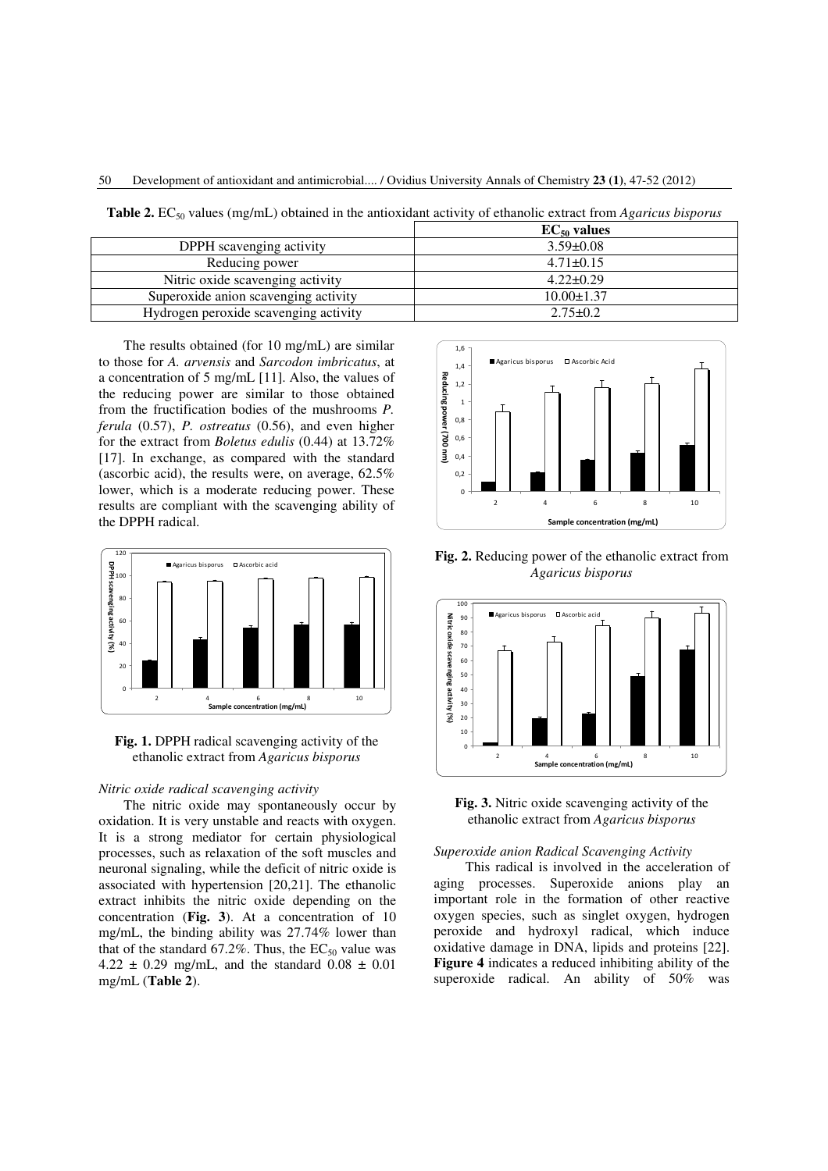50 Development of antioxidant and antimicrobial.... / Ovidius University Annals of Chemistry **23 (1)**, 47-52 (2012)

**Table 2.** EC<sub>50</sub> values (mg/mL) obtained in the antioxidant activity of ethanolic extract from *Agaricus bisporus* 

|                                       | $EC_{50}$ values |
|---------------------------------------|------------------|
| DPPH scavenging activity              | $3.59 \pm 0.08$  |
| Reducing power                        | $4.71 \pm 0.15$  |
| Nitric oxide scavenging activity      | $4.22 \pm 0.29$  |
| Superoxide anion scavenging activity  | $10.00 \pm 1.37$ |
| Hydrogen peroxide scavenging activity | $2.75 \pm 0.2$   |

The results obtained (for 10 mg/mL) are similar to those for *A. arvensis* and *Sarcodon imbricatus*, at a concentration of 5 mg/mL [11]. Also, the values of the reducing power are similar to those obtained from the fructification bodies of the mushrooms *P. ferula* (0.57), *P. ostreatus* (0.56), and even higher for the extract from *Boletus edulis* (0.44) at 13.72% [17]. In exchange, as compared with the standard (ascorbic acid), the results were, on average, 62.5% lower, which is a moderate reducing power. These results are compliant with the scavenging ability of the DPPH radical.



**Fig. 1.** DPPH radical scavenging activity of the ethanolic extract from *Agaricus bisporus* 

## *Nitric oxide radical scavenging activity*

 The nitric oxide may spontaneously occur by oxidation. It is very unstable and reacts with oxygen. It is a strong mediator for certain physiological processes, such as relaxation of the soft muscles and neuronal signaling, while the deficit of nitric oxide is associated with hypertension [20,21]. The ethanolic extract inhibits the nitric oxide depending on the concentration (**Fig. 3**). At a concentration of 10 mg/mL, the binding ability was 27.74% lower than that of the standard  $67.2\%$ . Thus, the EC<sub>50</sub> value was 4.22  $\pm$  0.29 mg/mL, and the standard 0.08  $\pm$  0.01 mg/mL (**Table 2**).



**Fig. 2.** Reducing power of the ethanolic extract from *Agaricus bisporus*



**Fig. 3.** Nitric oxide scavenging activity of the ethanolic extract from *Agaricus bisporus*

# *Superoxide anion Radical Scavenging Activity*

This radical is involved in the acceleration of aging processes. Superoxide anions play an important role in the formation of other reactive oxygen species, such as singlet oxygen, hydrogen peroxide and hydroxyl radical, which induce oxidative damage in DNA, lipids and proteins [22]. **Figure 4** indicates a reduced inhibiting ability of the superoxide radical. An ability of 50% was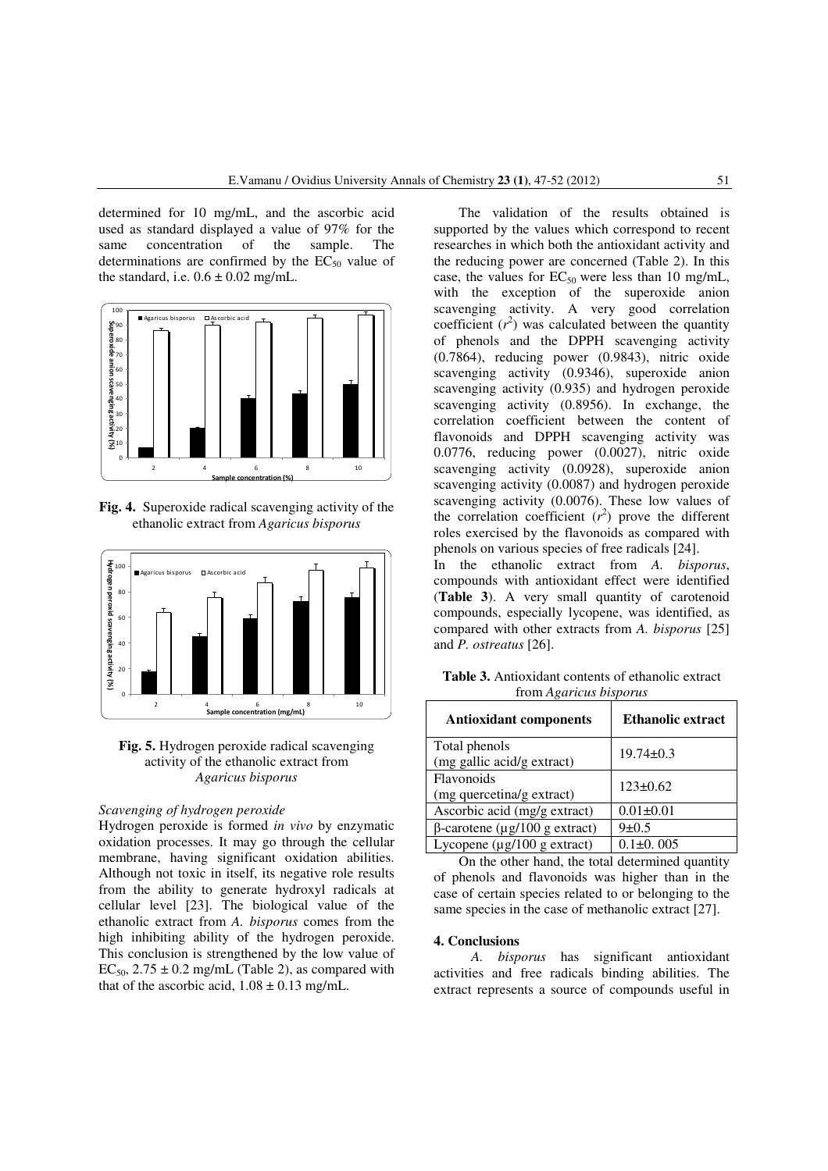determined for 10 mg/mL, and the ascorbic acid used as standard displayed a value of 97% for the same concentration of the sample. The determinations are confirmed by the  $EC_{50}$  value of the standard, i.e.  $0.6 \pm 0.02$  mg/mL.



**Fig. 4.** Superoxide radical scavenging activity of the ethanolic extract from *Agaricus bisporus*



**Fig. 5.** Hydrogen peroxide radical scavenging activity of the ethanolic extract from *Agaricus bisporus*

# *Scavenging of hydrogen peroxide*

Hydrogen peroxide is formed *in vivo* by enzymatic oxidation processes. It may go through the cellular membrane, having significant oxidation abilities. Although not toxic in itself, its negative role results from the ability to generate hydroxyl radicals at cellular level [23]. The biological value of the ethanolic extract from *A. bisporus* comes from the high inhibiting ability of the hydrogen peroxide. This conclusion is strengthened by the low value of  $EC_{50}$ ,  $2.75 \pm 0.2$  mg/mL (Table 2), as compared with that of the ascorbic acid,  $1.08 \pm 0.13$  mg/mL.

The validation of the results obtained is supported by the values which correspond to recent researches in which both the antioxidant activity and the reducing power are concerned (Table 2). In this case, the values for  $EC_{50}$  were less than 10 mg/mL, with the exception of the superoxide anion scavenging activity. A very good correlation coefficient  $(r^2)$  was calculated between the quantity of phenols and the DPPH scavenging activity (0.7864), reducing power (0.9843), nitric oxide scavenging activity (0.9346), superoxide anion scavenging activity (0.935) and hydrogen peroxide scavenging activity (0.8956). In exchange, the correlation coefficient between the content of flavonoids and DPPH scavenging activity was 0.0776, reducing power (0.0027), nitric oxide scavenging activity (0.0928), superoxide anion scavenging activity (0.0087) and hydrogen peroxide scavenging activity (0.0076). These low values of the correlation coefficient  $(r^2)$  prove the different roles exercised by the flavonoids as compared with phenols on various species of free radicals [24].

In the ethanolic extract from *A. bisporus*, compounds with antioxidant effect were identified (**Table 3**). A very small quantity of carotenoid compounds, especially lycopene, was identified, as compared with other extracts from *A. bisporus* [25] and *P. ostreatus* [26].

**Table 3.** Antioxidant contents of ethanolic extract from *Agaricus bisporus*

| <b>Antioxidant components</b>    | <b>Ethanolic extract</b> |  |
|----------------------------------|--------------------------|--|
| Total phenols                    | $19.74 \pm 0.3$          |  |
| (mg gallic acid/g extract)       |                          |  |
| Flavonoids                       | $123 \pm 0.62$           |  |
| (mg quercetina/g extract)        |                          |  |
| Ascorbic acid (mg/g extract)     | $0.01 \pm 0.01$          |  |
| $β$ -carotene (μg/100 g extract) | $9 \pm 0.5$              |  |
| Lycopene $(\mu g/100 g$ extract) | $0.1 \pm 0.005$          |  |

On the other hand, the total determined quantity of phenols and flavonoids was higher than in the case of certain species related to or belonging to the same species in the case of methanolic extract [27].

#### **4. Conclusions**

*A. bisporus* has significant antioxidant activities and free radicals binding abilities. The extract represents a source of compounds useful in